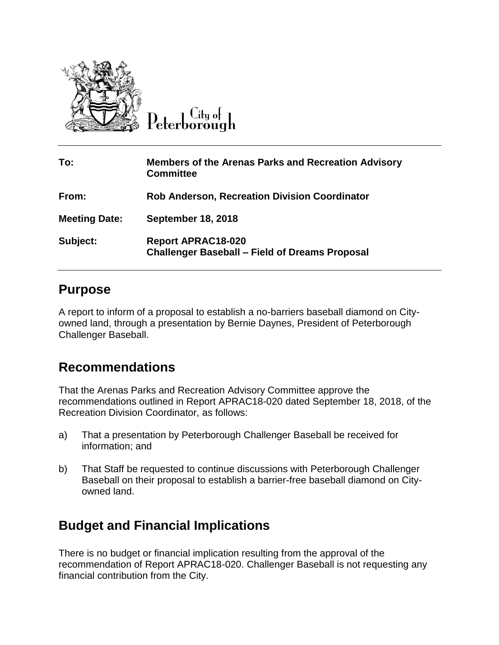

 $C$ ity of

| To:                  | <b>Members of the Arenas Parks and Recreation Advisory</b><br><b>Committee</b>     |
|----------------------|------------------------------------------------------------------------------------|
| From:                | <b>Rob Anderson, Recreation Division Coordinator</b>                               |
| <b>Meeting Date:</b> | <b>September 18, 2018</b>                                                          |
| Subject:             | <b>Report APRAC18-020</b><br><b>Challenger Baseball – Field of Dreams Proposal</b> |

#### **Purpose**

A report to inform of a proposal to establish a no-barriers baseball diamond on Cityowned land, through a presentation by Bernie Daynes, President of Peterborough Challenger Baseball.

### **Recommendations**

That the Arenas Parks and Recreation Advisory Committee approve the recommendations outlined in Report APRAC18-020 dated September 18, 2018, of the Recreation Division Coordinator, as follows:

- a) That a presentation by Peterborough Challenger Baseball be received for information; and
- b) That Staff be requested to continue discussions with Peterborough Challenger Baseball on their proposal to establish a barrier-free baseball diamond on Cityowned land.

### **Budget and Financial Implications**

There is no budget or financial implication resulting from the approval of the recommendation of Report APRAC18-020. Challenger Baseball is not requesting any financial contribution from the City.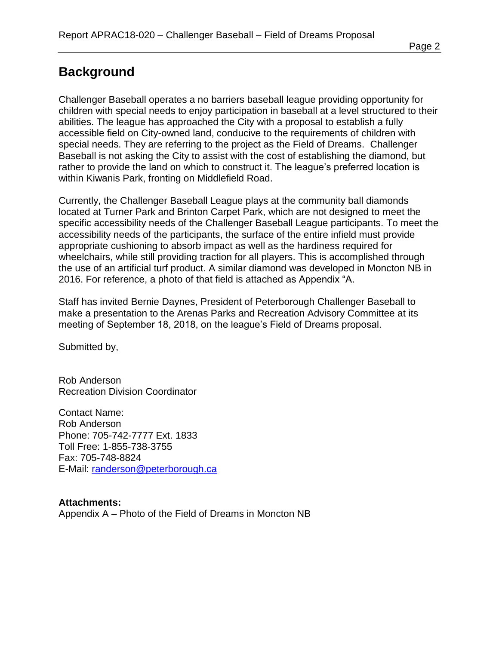# **Background**

Challenger Baseball operates a no barriers baseball league providing opportunity for children with special needs to enjoy participation in baseball at a level structured to their abilities. The league has approached the City with a proposal to establish a fully accessible field on City-owned land, conducive to the requirements of children with special needs. They are referring to the project as the Field of Dreams. Challenger Baseball is not asking the City to assist with the cost of establishing the diamond, but rather to provide the land on which to construct it. The league's preferred location is within Kiwanis Park, fronting on Middlefield Road.

Currently, the Challenger Baseball League plays at the community ball diamonds located at Turner Park and Brinton Carpet Park, which are not designed to meet the specific accessibility needs of the Challenger Baseball League participants. To meet the accessibility needs of the participants, the surface of the entire infield must provide appropriate cushioning to absorb impact as well as the hardiness required for wheelchairs, while still providing traction for all players. This is accomplished through the use of an artificial turf product. A similar diamond was developed in Moncton NB in 2016. For reference, a photo of that field is attached as Appendix "A.

Staff has invited Bernie Daynes, President of Peterborough Challenger Baseball to make a presentation to the Arenas Parks and Recreation Advisory Committee at its meeting of September 18, 2018, on the league's Field of Dreams proposal.

Submitted by,

Rob Anderson Recreation Division Coordinator

Contact Name: Rob Anderson Phone: 705-742-7777 Ext. 1833 Toll Free: 1-855-738-3755 Fax: 705-748-8824 E-Mail: [randerson@peterborough.ca](mailto:randerson@peterborough.ca)

**Attachments:** Appendix A – Photo of the Field of Dreams in Moncton NB